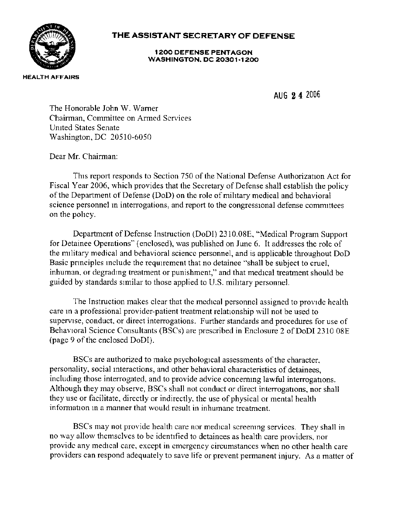

## **THE ASSISTANT SECRETARY OF DEFENSE**

**1200 DEFENSE PENTAGON WASHINGTON, DC 20301·1200** 

AUG **2 4** <sup>2006</sup>

The Honorable John W. Warner Chairman, Committee on Armed Services Umted States Senate Washington, DC 20510-6050

Dear Mr. Chairman:

This report responds to Section 750 of the National Defense Authorization Act for Fiscal Year 2006, which provides that the Secretary of Defense shall establish the policy of the Department of Defense (DoD) on the role of military medical and behavioral science personnel in interrogations, and report to the congressional defense committees on the pohcy.

Department of Defense Instruction (DoDI) 2310.0SE, "Medical Program Support for Detainee Operations" (enclosed), was published on June 6. It addresses the role of the military medical and behavioral science personnel, and is applicable throughout DoD Basic pnnciples mclude the requirement that no detainee "shall be subject to cruel, inhuman, or degrading treatment or punishment," and that medical treatment should be guided by standards similar to those applied to U.S. military personnel.

The Instruction makes clear that the medical personnel assigned to provide health care ma professional provider-patient treatment relationship will not be used to supervise, conduct. or direct interrogations. Further standards and procedures for use of Behavioral Science Consultants (BSCs) are prescribed in Enclosure 2 of DoDI 2310 08E (page 9 of the enclosed DoDI).

BSCs are authorized to make psychological assessments of the character, personality, social mteractions, and other behavioral characteristics of detainees, including those interrogated, and to provide advice concerning lawful interrogations. Although they may observe, BSCs shall not conduct or direct interrogations, nor shall they use or facilitate, directly or indirectly, the use of physical or mental health information ma manner that would result in inhumane treatment.

BSCs may not provide health care nor medical screenmg services. They shall in no way allow themselves to be identified to detainees as health care providers, nor provide any medical care, except in emergency circumstances when no other health care providers can respond adequately to save life or prevent permanent injury. As a matter of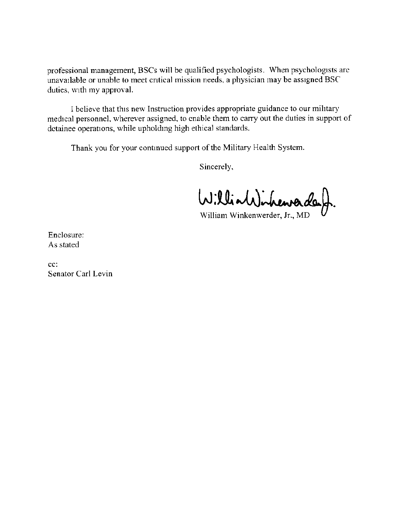professional management, BSCs will be qualified psychologists. When psychologists arc unavailable or unable to meet cntical mission needs, a physician may be assigned BSC duties, with my approval.

I believe that this new Instruction provides appropriate guidance to our mihtary medical personnel. wherever assigned. to enable them to carry out the duties in support of detainee operations, while upholding high ethical standards.

Thank you for your continued support of the Military Health System.

Sincerely.

William inheurader

William Winkenwerder, Jr., MD

Enclosure: As stated

cc: Senator Carl Levin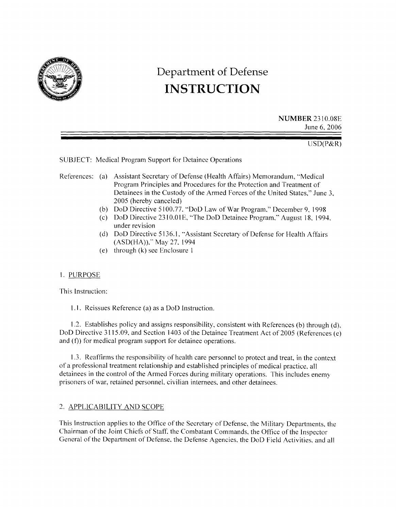

# **Department of Defense INSTRUCTION**

**NUMBER** 2310.08E June 6, 2006

USD(P&R)

SUBJECT: Medical Program Support for Detainee Operations

- References: (a) Assistant Secretary of Defense (Health Affairs) Memorandum, "Medical Program Principles and Procedures for the Protection and Treatment of Detainees in the Custody of the Armed Forces of the United States,'' June 3, 2005 (hereby canceled)
	- (b) DoD Directive 5100.77. "DoD Law of War Program," December 9, 1998
	- (c) DoD Directive 2310.01 E, ''The DoD Detainee Program," August 18, 1994. under revision
	- (d) DoD Directive 5136.1, "Assistant Secretary of Defense for Health Affairs (ASD(HA))," May 27, 1994
	- (e) through  $(k)$  see Enclosure 1

#### I. PURPOSE

This Instruction:

**1.1.** Reissues Reference (a) as a DoD Instruction.

1.2. Establishes policy and assigns responsibility, consistent with References (b) through (d), DoD Directive 3115.09, and Section 1403 of the Detainee Treatment Act of 2005 (References (e) and (f)) for medical program support for detainee operations.

1.3. Reaffirms the responsibility of health care personnel to protect and treat, in the context of a professional treatment relationship and established principles of medical practice, all detainees in the control of the Armed Forces during military operations. This includes enemy prisoners of war, retained personnel, civilian internees, and other detainees.

### 2. APPLICABILITY AND SCOPE

This Instruction applies to the Office of the Secretary of Defense, the Military Departments, the Chairman of the Joint Chiefs of Staff. the Combatant Commands, the Office of the Inspector General of the Department of Defense. the Defense Agencies. the DoD Field Activities. and all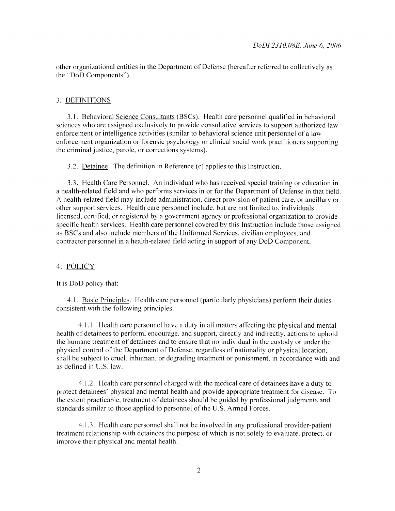other organizational entities in the Department of Defense (hereafter referred to collectively as the "DoD Components").

#### 3. DEFINITIONS

3.1. Behavioral Science Consultants (BSCs). Health care personnel qualified in behavioral sciences who are assigned exclusively to provide consultative services to support authorized law enforcement or intelligence activities (similar to behavioral science unit personnel of a law enforcement organization or forensic psychology or clinical social work practitioners supporting the criminal justice, parole, or corrections systems).

3.2. Detainee. The definition in Reference (c) applies to this Instruction.

3.3. Health Care Personnel. An individual who has received special training or education in a health-related field and who performs services in or for the Department of Defense in that field. A health-related field may include administration, direct provision of patient care, or ancillary or other support services. Health care personnel include, but are not limited to, individuals licensed, certified, or registered by a government agency or professional organization to provide specific health services. Health care personnel covered by this Instruction include those assigned as BSCs and also include members of the Uniformed Services, civilian employees. and contractor personnel in a health-related field acting in support of any DoD Component.

#### 4. POLICY

It is DoD policy that:

4.1. Basic Principles. Health care personnel (particularly physicians) perform their duties consistent with the following principles.

4.1.1. Health care personnel have a duty in all matters affecting the physical and mental health of detainees to perform, encourage, and support, directly and indirectly, actions to uphold the humane treatment of detainees and to ensure that no individual in the custody or under the physical control of the Department of Defense, regardless of nationality or physical location, shall be subject to cruel, inhuman. or degrading treatment or punishment, in accordance with and as defined in U.S. law.

4.1.2. Health care personnel charged with the medical care of detainees have a duty to protect detainees' physical and mental health and provide appropriate treatment for disease. To the extent practicable, treatment of detainees should be guided by professional judgments and standards similar to those applied to personnel of the U.S. Armed Forces.

4.1.3. Health care personnel shall not be involved in any professional provider-patient treatment relationship with detainees the purpose of which is not solely to evaluate. protect, or improve their physical and mental health.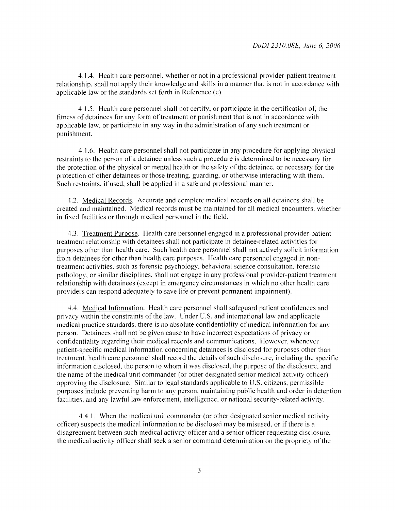4.1.4. Health care personnel, whether or not in a professional provider-patient treatment relationship. shall not apply their knowledge and skills in a manner that is not in accordance with applicable law or the standards set forth in Reference (c).

4.1.5. Health care personnel shall not certify. or participate in the certification of, the fitness of detainees for any form of treatment or punishment that is not in accordance with applicable law. or participate in any way in the administration of any such treatment or punishment.

4.1.6. Health care personnel shall not participate in any procedure for applying physical restraints to the person of a detainee unless such a procedure is determined to be necessary for the protection of the physical or mental health or the safety of the detainee, or necessary for the protection of other detainees or those treating. guarding, or otherwise interacting with them. Such restraints, if used. shall be applied in a safe and professional manner.

4.2. Medical Records. Accurate and complete medical records on all detainees shall be created and maintained. Medical records must be maintained for all medical encounters, whether in fixed facilities or through medical personnel in the field.

4.3. Treatment Purpose. Health care personnel engaged in a professional provider-patient treatment relationship with detainees shall not participate in detainee-related activities for purposes other than health care. Such health care personnel shall not actively solicit information from detainees for other than health care purposes. Health care personnel engaged in nontreatment activities. such as forensic psychology. behavioral science consultation, forensic pathology, or similar disciplines. shall not engage in any professional provider-patient treatment relationship with detainees ( except in emergency circumstances in which no other health care providers can respond adequately to save life or prevent permanent impairment).

4.4. Medical Information. Health care personnel shall safeguard patient confidences and privacy within the constraints of the law. Under U.S. and international law and applicable medical practice standards. there is no absolute confidentiality of medical information for any person. Detainees shall not be given cause to have incorrect expectations of privacy or confidentiality regarding their medical records and communications. However, whenever patient-specific medical information concerning detainees is disclosed for purposes other than treatment. health care personnel shall record the details of such disclosure, including the specific information disclosed. the person to whom it was disclosed. the purpose of the disclosure. and the name of the medical unit commander (or other designated senior medical activity officer) approving the disclosure. Similar to legal standards applicable to U.S. citizens. permissible purposes include preventing harm to any person. maintaining public health and order in detention facilities, and any lawful law enforcement, intelligence, or national security-related activity.

4.4.1. When the medical unit commander (or other designated senior medical activity officer) suspects the medical information to be disclosed may be misused. or ifthere is a disagreement between such medical activity officer and a senior officer requesting disclosure. the medical activity officer shall seek a senior command determination on the propriety of the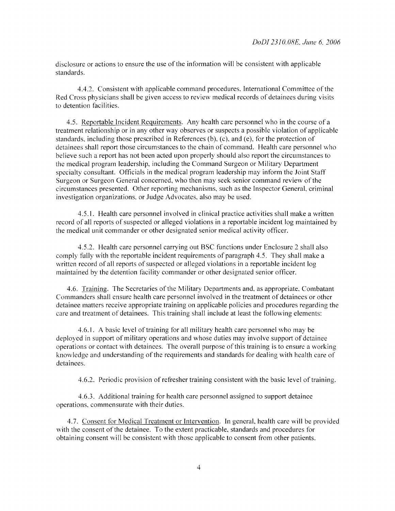disclosure or actions to ensure the use ofthe information will be consistent with applicable standards.

4.4.2. Consistent with applicable command procedures, International Committee ofthe Red Cross physicians shall be given access to review medical records of detainees during visits to detention facilities.

4.5. Reportable Incident Requirements. Any health care personnel who in the course of a treatment relationship or in any other way observes or suspects a possible violation of applicable standards, including those prescribed in References (b), (c), and (e), for the protection of detainees shall report those circumstances to the chain of command. Health care personnel who believe such a report has not been acted upon properly should also report the circumstances to the medical program leadership, including the Command Surgeon or Military Department specialty consultant. Officials in the medical program leadership may inform the Joint Staff Surgeon or Surgeon General concerned, who then may seek senior command review of the circumstances presented. Other reporting mechanisms, such as the Inspector General, criminal investigation organizations, or Judge Advocates, also may be used.

4.5.1. Health care personnel involved in clinical practice activities shall make a written record of all reports of suspected or alleged violations in a reportable incident log maintained by the medical unit commander or other designated senior medical activity officer.

4.5.2. Health care personnel carrying out BSC functions under Enclosure *2* shall also comply fully with the reportable incident requirements of paragraph 4.5. They shall make a written record of all reports of suspected or alleged violations in a reportable incident log maintained by the detention facility commander or other designated senior officer.

4.6. Training. The Secretaries ofthe Military Departments and, as appropriate, Combatant Commanders shall ensure health care personnel involved in the treatment of detainees or other detainee matters receive appropriate training on applicable policies and procedures regarding the care and treatment of detainees. This training shall include at least the following elements:

4.6.1. A basic level of training for all military health care personnel who may be deployed in support of military operations and whose duties may involve support of detainee operations or contact with detainees. The overall purpose of this training is to ensure a working knowledge and understanding of the requirements and standards for dealing with health care of detainees.

4.6.2. Periodic provision of refresher training consistent with the basic level of training.

4.6.3. Additional training for health care personnel assigned to support detainee operations, commensurate with their duties.

4. 7. Consent for Medical Treatment or Intervention. In general, health care will be provided with the consent of the detainee. To the extent practicable, standards and procedures for obtaining consent will be consistent with those applicable to consent from other patients.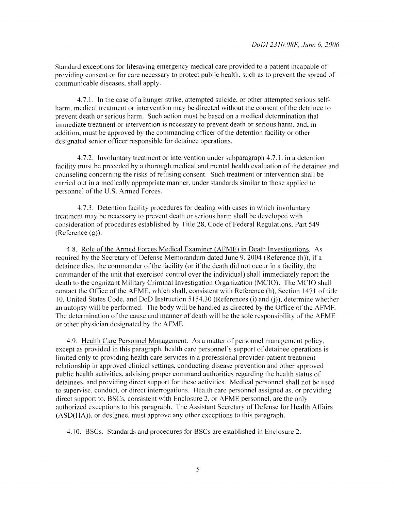Standard exceptions for lifesaving emergency medical care provided to a patient incapable of providing consent or for care necessary to protect public health. such as to prevent the spread of communicable diseases. shall apply.

4.7.1. In the case ofa hunger strike. attempted suicide. or other attempted serious selfharm, medical treatment or intervention may be directed without the consent of the detainee to prevent death or serious harm. Such action must be based on a medical determination that immediate treatment or intervention is necessary to prevent death or serious harm. and. in addition, must be approved by the commanding officer of the detention facility or other designated senior officer responsible for detainee operations.

4.7.2. Involuntary treatment or intervention under subparagraph 4.7.1. in a detention facility must be preceded by a thorough medical and mental health evaluation of the detainee and counseling concerning the risks of refusing consent. Such treatment or intervention shall be carried out in a medically appropriate manner. under standards similar to those applied to personnel of the U.S. Armed Forces.

4.7.3. Detention facility procedures for dealing with cases in which involuntary treatment may be necessary to prevent death or serious harm shall be developed with consideration of procedures established by Title 28, Code of Federal Regulations. Part 549 (Reference (g)).

4.8. Role of the Armed Forces Medical Examiner (AFME) in Death Investigations. As required by the Secretary of Defense Memorandum dated June 9. 2004 (Reference (h)), if a detainee dies, the commander of the facility (or if the death did not occur in a facility, the commander of the unit that exercised control over the individual) shall immediately report the death to the cognizant Military Criminal Investigation Organization (MCIO). The MCIO shall contact the Office of the AFME, which shall, consistent with Reference (h), Section 1471 of title 10, United States Code, and DoD Instruction 5154.30 (References (i) and (j)), determine whether an autopsy will be performed. The body will be handled as directed by the Office of the AFME. The determination of the cause and manner of death will be the sole responsibility ofthe AFME or other physician designated by the AFME.

4.9. Health Care Personnel Management. As a matter of personnel management policy. except as provided in this paragraph, health care personnel's support of detainee operations is limited only to providing health care services in a professional provider-patient treatment relationship in approved clinical settings, conducting disease prevention and other approved public health activities. advising proper command authorities regarding the health status of detainees. and providing direct support for these activities. Medical personnel shall not be used to supervise. conduct. or direct interrogations. Health care personnel assigned as. or providing direct support to. BSCs. consistent with Enclosure 2, or AFME personnel, are the only authorized exceptions to this paragraph. The Assistant Secretary of Defense for Health Affairs (ASD(HA)). or designee. must approve any other exceptions to this paragraph.

4.10. BSCs. Standards and procedures for BSCs are established in Enclosure 2.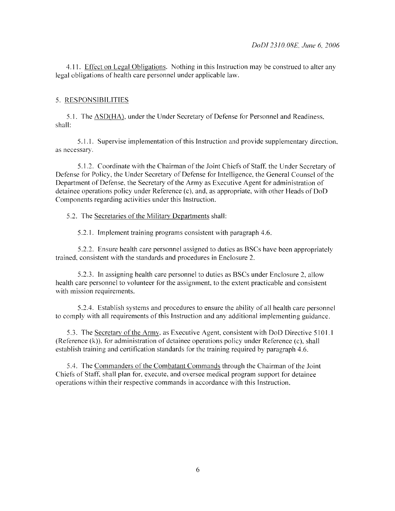4.11. Effect on Legal Obligations. Nothing in this Instruction may be construed to alter any legal obligations of health care personnel under applicable law.

#### 5. RESPONSIBILITIES

5.1. The ASD(HA), under the Under Secretary of Defense for Personnel and Readiness, shall:

5.1.1. Supervise implementation ofthis Instruction and provide supplementary direction, as necessary.

5.1.2. Coordinate with the Chairman of the Joint Chiefs of Staff, the Under Secretary of Defense for Policy, the Under Secretary of Defense for Intelligence, the General Counsel of the Department of Defense, the Secretary of the Army as Executive Agent for administration of detainee operations policy under Reference  $(c)$ , and, as appropriate, with other Heads of DoD Components regarding activities under this Instruction.

5.2. The Secretaries of the Military Departments shall:

5.2.1. Implement training programs consistent with paragraph 4.6.

5 .2.2. Ensure health care personnel assigned to duties as BSCs have been appropriately trained. consistent with the standards and procedures in Enclosure 2.

5.2.3. In assigning health care personnel to duties as BSCs under Enclosure 2, allow health care personnel to volunteer for the assignment, to the extent practicable and consistent with mission requirements.

5.2.4. Establish systems and procedures to ensure the ability of all health care personnel to comply with all requirements of this Instruction and any additional implementing guidance.

5.3. The Secretary of the Army, as Executive Agent, consistent with DoD Directive 5101.1 (Reference  $(k)$ ), for administration of detainee operations policy under Reference  $(c)$ , shall establish training and certification standards for the training required by paragraph 4.6.

5.4. The Commanders ofthe Combatant Commands through the Chairman of the Joint Chiefs of Staff, shall plan for. execute, and oversee medical program support for detainee operations within their respective commands in accordance with this Instruction.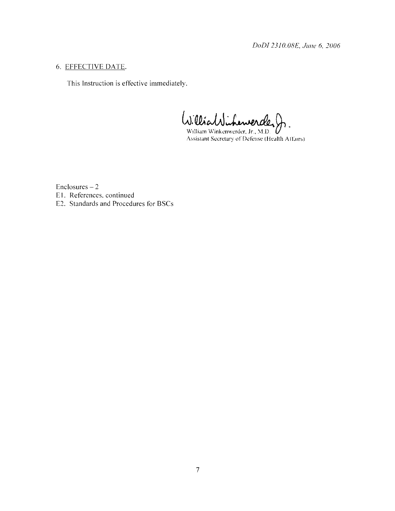*DoDI 2310.08£, June 6, 2006* 

## 6. EFFECTIVE DATE.

This Instruction is effective immediately.

William Winkenwerder, Jr., M.D.

 $Enclosures - 2$ EI. References, continued E2. Standards and Procedures for BSCs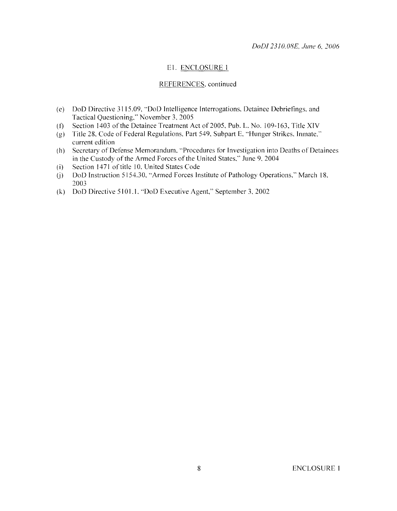#### El. ENCLOSURE 1

#### REFERENCES, continued

- (e) DoD Directive 3115.09, '"DoD Intelligence Interrogations, Detainee Debriefings, and Tactical Questioning," November 3, 2005
- $(f)$ Section 1403 of the Detainee Treatment Act of 2005, Pub. L. No. 109-163, Title XIV
- (g) Title 28, Code of Federal Regulations, Part 549, Subpart E, '"Hunger Strikes, Inmate," current edition
- (h) Secretary of Defense Memorandum, '"Procedures for Investigation into Deaths of Detainees in the Custody of the Armed Forces of the United States," June 9, 2004
- (i) Section 1471 of title 10, United States Code
- $(i)$ DoD Instruction 5154.30, "Armed Forces Institute of Pathology Operations," March 18, 2003
- (k) DoD Directive 5101.1, ·'DoD Executive Agent," September 3, 2002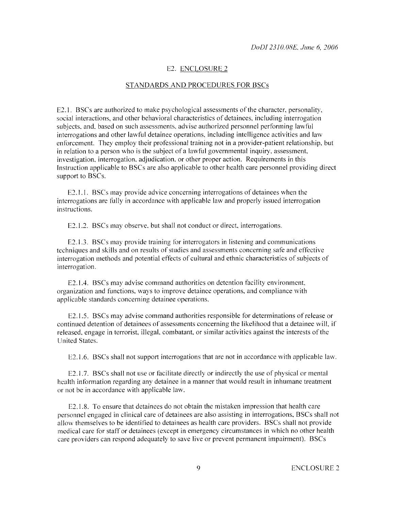#### E2. ENCLOSURE *2*

#### STANDARDS AND PROCEDURES FOR BSCs

E2.1. BSCs are authorized to make psychological assessments of the character, personality, social interactions, and other behavioral characteristics of detainees, including interrogation subjects. and. based on such assessments. advise authorized personnel performing lawful interrogations and other lawful detainee operations, including intelligence activities and law enforcement. They employ their professional training not in a provider-patient relationship, but in relation to a person who is the subject of a lawful governmental inquiry, assessment, investigation. interrogation. adjudication. or other proper action. Requirements in this Instruction applicable to BSCs are also applicable to other health care personnel providing direct support to BSCs.

E2.1.1. BSCs may provide advice concerning interrogations of detainees when the interrogations are fully in accordance with applicable law and properly issued interrogation instructions.

E2.1.2. BSCs may observe, but shall not conduct or direct, interrogations.

E2.1.3. BSCs may provide training for interrogators in listening and communications techniques and skills and on results of studies and assessments concerning safe and effective interrogation methods and potential effects of cultural and ethnic characteristics of subjects of interrogation.

E2.1.4. BSCs may advise command authorities on detention facility environment, organization and functions. ways to improve detainee operations, and compliance with applicable standards concerning detainee operations.

E2.1.5. BSCs may advise command authorities responsible for determinations of release or continued detention of detainees of assessments concerning the likelihood that a detainee will, if released, engage in terrorist, illegal. combatant. or similar activities against the interests of the United States.

E2.1.6. BSCs shall not support interrogations that are not in accordance with applicable law.

E2.1.7. BSCs shall not use or facilitate directly or indirectly the use of physical or mental health information regarding any detainee in a manner that would result in inhumane treatment or not be in accordance with applicable law.

E2.1.8. To ensure that detainees do not obtain the mistaken impression that health care personnel engaged in clinical care of detainees are also assisting in interrogations. BSCs shall not allow themselves to be identified to detainees as health care providers. BSCs shall not provide medical care for staff or detainees ( except in emergency circumstances in which no other health care providers can respond adequately to save live or prevent permanent impairment). BSCs